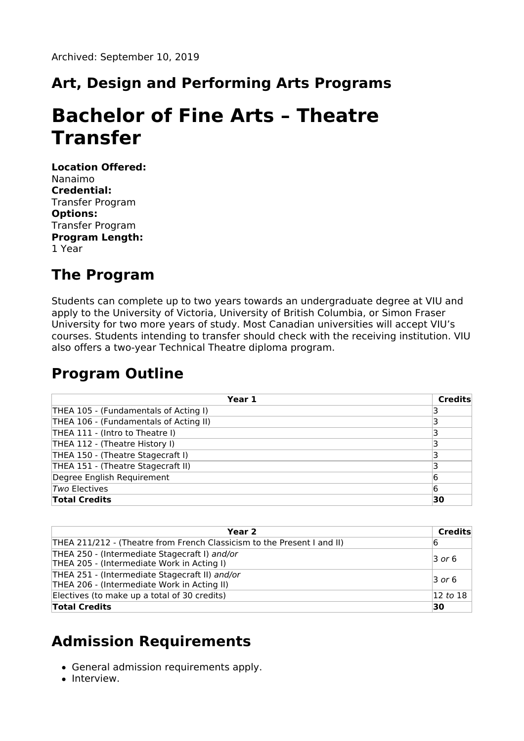## **Art, Design and Performing Arts Programs**

# **Bachelor of Fine Arts – Theatre Transfer**

**Location Offered:** Nanaimo **Credential:** Transfer Program **Options:** Transfer Program **Program Length:** 1 Year

#### **The Program**

Students can complete up to two years towards an undergraduate degree at VIU and apply to the University of Victoria, University of British Columbia, or Simon Fraser University for two more years of study. Most Canadian universities will accept VIU's courses. Students intending to transfer should check with the receiving institution. VIU also offers a two-year Technical Theatre diploma program.

#### **Program Outline**

| Year 1                                 | <b>Credits</b> |
|----------------------------------------|----------------|
| THEA 105 - (Fundamentals of Acting I)  |                |
| THEA 106 - (Fundamentals of Acting II) |                |
| THEA 111 - (Intro to Theatre I)        |                |
| THEA 112 - (Theatre History I)         |                |
| THEA 150 - (Theatre Stagecraft I)      |                |
| THEA 151 - (Theatre Stagecraft II)     |                |
| Degree English Requirement             | 6              |
| Two Electives                          | 6              |
| <b>Total Credits</b>                   | 30             |

| Year <sub>2</sub>                                                                             | Credits              |
|-----------------------------------------------------------------------------------------------|----------------------|
| THEA 211/212 - (Theatre from French Classicism to the Present I and II)                       | 16                   |
| THEA 250 - (Intermediate Stagecraft I) and/or<br>THEA 205 - (Intermediate Work in Acting I)   | $\overline{3}$ or 6  |
| THEA 251 - (Intermediate Stagecraft II) and/or<br>THEA 206 - (Intermediate Work in Acting II) | $\overline{3}$ or 6  |
| Electives (to make up a total of 30 credits)                                                  | $ 12 \text{ to } 18$ |
| <b>Total Credits</b>                                                                          | 30                   |

### **Admission Requirements**

- General admission requirements apply.
- Interview.